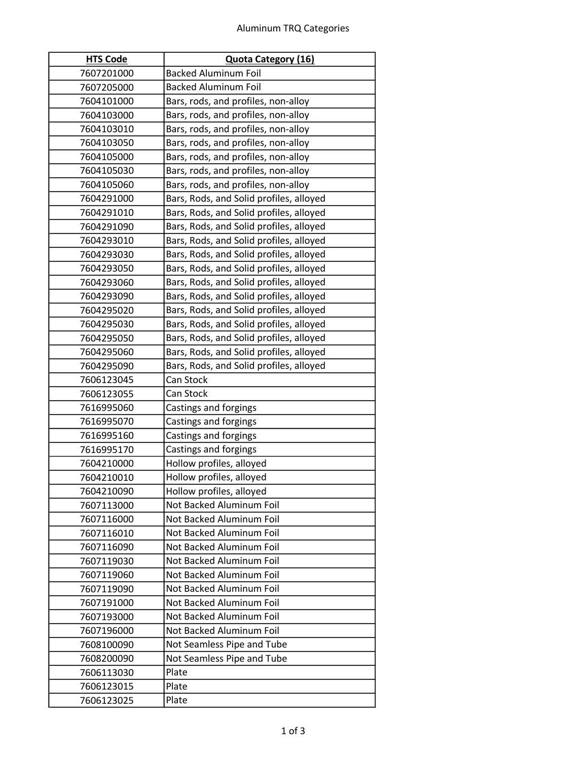| <b>HTS Code</b>          | <b>Quota Category (16)</b>                           |
|--------------------------|------------------------------------------------------|
| 7607201000               | <b>Backed Aluminum Foil</b>                          |
| 7607205000               | <b>Backed Aluminum Foil</b>                          |
| 7604101000               | Bars, rods, and profiles, non-alloy                  |
| 7604103000               | Bars, rods, and profiles, non-alloy                  |
| 7604103010               | Bars, rods, and profiles, non-alloy                  |
| 7604103050               | Bars, rods, and profiles, non-alloy                  |
| 7604105000               | Bars, rods, and profiles, non-alloy                  |
| 7604105030               | Bars, rods, and profiles, non-alloy                  |
| 7604105060               | Bars, rods, and profiles, non-alloy                  |
| 7604291000               | Bars, Rods, and Solid profiles, alloyed              |
| 7604291010               | Bars, Rods, and Solid profiles, alloyed              |
| 7604291090               | Bars, Rods, and Solid profiles, alloyed              |
| 7604293010               | Bars, Rods, and Solid profiles, alloyed              |
| 7604293030               | Bars, Rods, and Solid profiles, alloyed              |
| 7604293050               | Bars, Rods, and Solid profiles, alloyed              |
| 7604293060               | Bars, Rods, and Solid profiles, alloyed              |
| 7604293090               | Bars, Rods, and Solid profiles, alloyed              |
| 7604295020               | Bars, Rods, and Solid profiles, alloyed              |
| 7604295030               | Bars, Rods, and Solid profiles, alloyed              |
| 7604295050               | Bars, Rods, and Solid profiles, alloyed              |
| 7604295060               | Bars, Rods, and Solid profiles, alloyed              |
| 7604295090               | Bars, Rods, and Solid profiles, alloyed              |
| 7606123045               | Can Stock                                            |
| 7606123055               | Can Stock                                            |
| 7616995060               | Castings and forgings                                |
| 7616995070               | Castings and forgings                                |
| 7616995160               | Castings and forgings                                |
| 7616995170               | Castings and forgings                                |
| 7604210000               | Hollow profiles, alloyed                             |
| 7604210010               | Hollow profiles, alloyed                             |
| 7604210090               | Hollow profiles, alloyed                             |
| 7607113000               | Not Backed Aluminum Foil                             |
| 7607116000               | Not Backed Aluminum Foil                             |
| 7607116010               | Not Backed Aluminum Foil                             |
| 7607116090               | Not Backed Aluminum Foil                             |
| 7607119030               | Not Backed Aluminum Foil                             |
| 7607119060<br>7607119090 | Not Backed Aluminum Foil<br>Not Backed Aluminum Foil |
| 7607191000               | Not Backed Aluminum Foil                             |
|                          | Not Backed Aluminum Foil                             |
| 7607193000               | Not Backed Aluminum Foil                             |
| 7607196000<br>7608100090 | Not Seamless Pipe and Tube                           |
| 7608200090               | Not Seamless Pipe and Tube                           |
| 7606113030               | Plate                                                |
| 7606123015               | Plate                                                |
| 7606123025               | Plate                                                |
|                          |                                                      |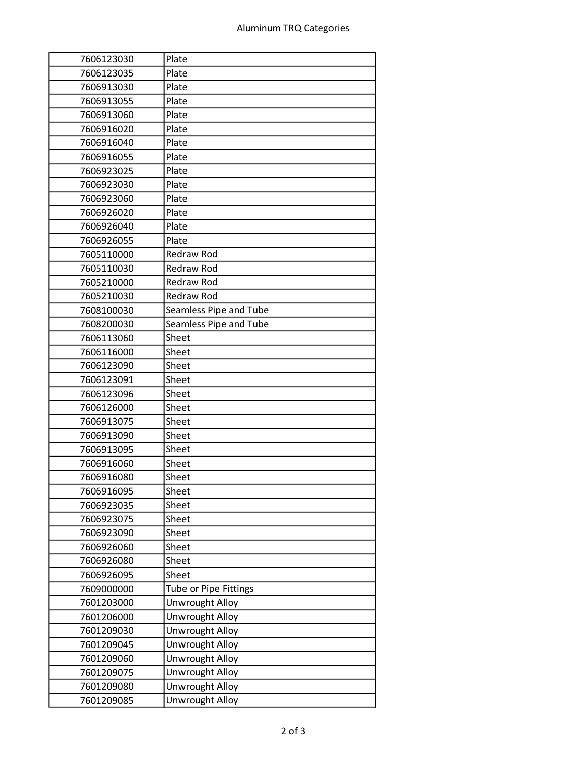| 7606123030 | Plate                  |
|------------|------------------------|
| 7606123035 | Plate                  |
| 7606913030 | Plate                  |
| 7606913055 | Plate                  |
| 7606913060 | Plate                  |
| 7606916020 | Plate                  |
| 7606916040 | Plate                  |
| 7606916055 | Plate                  |
| 7606923025 | Plate                  |
| 7606923030 | Plate                  |
| 7606923060 | Plate                  |
| 7606926020 | Plate                  |
| 7606926040 | Plate                  |
| 7606926055 | Plate                  |
| 7605110000 | Redraw Rod             |
| 7605110030 | Redraw Rod             |
| 7605210000 | <b>Redraw Rod</b>      |
| 7605210030 | <b>Redraw Rod</b>      |
| 7608100030 | Seamless Pipe and Tube |
| 7608200030 | Seamless Pipe and Tube |
| 7606113060 | Sheet                  |
| 7606116000 | Sheet                  |
| 7606123090 | Sheet                  |
| 7606123091 | Sheet                  |
| 7606123096 | Sheet                  |
| 7606126000 | Sheet                  |
| 7606913075 | Sheet                  |
| 7606913090 | Sheet                  |
| 7606913095 | Sheet                  |
| 7606916060 | Sheet                  |
| 7606916080 | Sheet                  |
| 7606916095 | Sheet                  |
| 7606923035 | Sheet                  |
| 7606923075 | Sheet                  |
| 7606923090 | Sheet                  |
| 7606926060 | Sheet                  |
| 7606926080 | Sheet                  |
| 7606926095 | Sheet                  |
| 7609000000 | Tube or Pipe Fittings  |
| 7601203000 | <b>Unwrought Alloy</b> |
| 7601206000 | Unwrought Alloy        |
| 7601209030 | <b>Unwrought Alloy</b> |
| 7601209045 | <b>Unwrought Alloy</b> |
| 7601209060 | Unwrought Alloy        |
| 7601209075 | <b>Unwrought Alloy</b> |
| 7601209080 | <b>Unwrought Alloy</b> |
| 7601209085 | <b>Unwrought Alloy</b> |